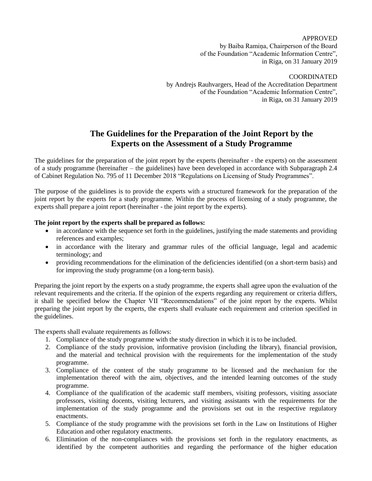APPROVED by Baiba Ramiņa, Chairperson of the Board of the Foundation "Academic Information Centre", in Riga, on 31 January 2019

COORDINATED by Andrejs Rauhvargers, Head of the Accreditation Department of the Foundation "Academic Information Centre", in Riga, on 31 January 2019

## **The Guidelines for the Preparation of the Joint Report by the Experts on the Assessment of a Study Programme**

The guidelines for the preparation of the joint report by the experts (hereinafter - the experts) on the assessment of a study programme (hereinafter – the guidelines) have been developed in accordance with Subparagraph 2.4 of Cabinet Regulation No. 795 of 11 December 2018 "Regulations on Licensing of Study Programmes".

The purpose of the guidelines is to provide the experts with a structured framework for the preparation of the joint report by the experts for a study programme. Within the process of licensing of a study programme, the experts shall prepare a joint report (hereinafter - the joint report by the experts).

#### **The joint report by the experts shall be prepared as follows:**

- in accordance with the sequence set forth in the guidelines, justifying the made statements and providing references and examples;
- in accordance with the literary and grammar rules of the official language, legal and academic terminology; and
- providing recommendations for the elimination of the deficiencies identified (on a short-term basis) and for improving the study programme (on a long-term basis).

Preparing the joint report by the experts on a study programme, the experts shall agree upon the evaluation of the relevant requirements and the criteria. If the opinion of the experts regarding any requirement or criteria differs, it shall be specified below the Chapter VII "Recommendations" of the joint report by the experts. Whilst preparing the joint report by the experts, the experts shall evaluate each requirement and criterion specified in the guidelines.

The experts shall evaluate requirements as follows:

- 1. Compliance of the study programme with the study direction in which it is to be included.
- 2. Compliance of the study provision, informative provision (including the library), financial provision, and the material and technical provision with the requirements for the implementation of the study programme.
- 3. Compliance of the content of the study programme to be licensed and the mechanism for the implementation thereof with the aim, objectives, and the intended learning outcomes of the study programme.
- 4. Compliance of the qualification of the academic staff members, visiting professors, visiting associate professors, visiting docents, visiting lecturers, and visiting assistants with the requirements for the implementation of the study programme and the provisions set out in the respective regulatory enactments.
- 5. Compliance of the study programme with the provisions set forth in the Law on Institutions of Higher Education and other regulatory enactments.
- 6. Elimination of the non-compliances with the provisions set forth in the regulatory enactments, as identified by the competent authorities and regarding the performance of the higher education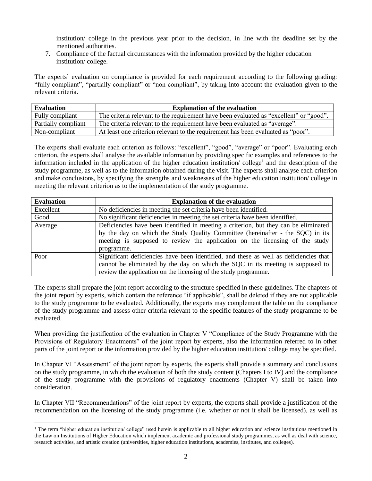institution/ college in the previous year prior to the decision, in line with the deadline set by the mentioned authorities.

7. Compliance of the factual circumstances with the information provided by the higher education institution/ college.

The experts' evaluation on compliance is provided for each requirement according to the following grading: "fully compliant", "partially compliant" or "non-compliant", by taking into account the evaluation given to the relevant criteria.

| <b>Evaluation</b>   | <b>Explanation of the evaluation</b>                                                   |
|---------------------|----------------------------------------------------------------------------------------|
| Fully compliant     | The criteria relevant to the requirement have been evaluated as "excellent" or "good". |
| Partially compliant | The criteria relevant to the requirement have been evaluated as "average".             |
| Non-compliant       | At least one criterion relevant to the requirement has been evaluated as "poor".       |

The experts shall evaluate each criterion as follows: "excellent", "good", "average" or "poor". Evaluating each criterion, the experts shall analyse the available information by providing specific examples and references to the information included in the application of the higher education institution/college<sup>1</sup> and the description of the study programme, as well as to the information obtained during the visit. The experts shall analyse each criterion and make conclusions, by specifying the strengths and weaknesses of the higher education institution/ college in meeting the relevant criterion as to the implementation of the study programme.

| <b>Evaluation</b> | <b>Explanation of the evaluation</b>                                                  |
|-------------------|---------------------------------------------------------------------------------------|
| Excellent         | No deficiencies in meeting the set criteria have been identified.                     |
| Good              | No significant deficiencies in meeting the set criteria have been identified.         |
| Average           | Deficiencies have been identified in meeting a criterion, but they can be eliminated  |
|                   | by the day on which the Study Quality Committee (hereinafter - the SQC) in its        |
|                   | meeting is supposed to review the application on the licensing of the study           |
|                   | programme.                                                                            |
| Poor              | Significant deficiencies have been identified, and these as well as deficiencies that |
|                   | cannot be eliminated by the day on which the SQC in its meeting is supposed to        |
|                   | review the application on the licensing of the study programme.                       |

The experts shall prepare the joint report according to the structure specified in these guidelines. The chapters of the joint report by experts, which contain the reference "if applicable", shall be deleted if they are not applicable to the study programme to be evaluated. Additionally, the experts may complement the table on the compliance of the study programme and assess other criteria relevant to the specific features of the study programme to be evaluated.

When providing the justification of the evaluation in Chapter V "Compliance of the Study Programme with the Provisions of Regulatory Enactments" of the joint report by experts, also the information referred to in other parts of the joint report or the information provided by the higher education institution/ college may be specified.

In Chapter VI "Assessment" of the joint report by experts, the experts shall provide a summary and conclusions on the study programme, in which the evaluation of both the study content (Chapters I to IV) and the compliance of the study programme with the provisions of regulatory enactments (Chapter V) shall be taken into consideration.

In Chapter VII "Recommendations" of the joint report by experts, the experts shall provide a justification of the recommendation on the licensing of the study programme (i.e. whether or not it shall be licensed), as well as

 $\overline{\phantom{a}}$ 

<sup>&</sup>lt;sup>1</sup> The term "higher education institution/ college" used herein is applicable to all higher education and science institutions mentioned in the Law on Institutions of Higher Education which implement academic and professional study programmes, as well as deal with science, research activities, and artistic creation (universities, higher education institutions, academies, institutes, and colleges).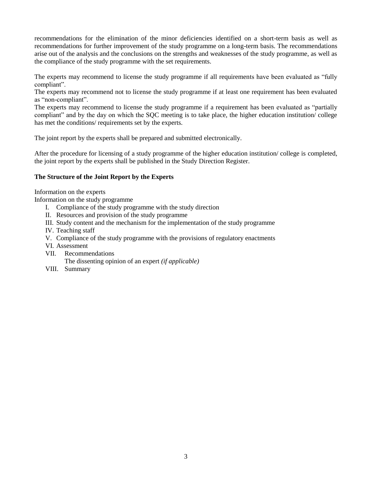recommendations for the elimination of the minor deficiencies identified on a short-term basis as well as recommendations for further improvement of the study programme on a long-term basis. The recommendations arise out of the analysis and the conclusions on the strengths and weaknesses of the study programme, as well as the compliance of the study programme with the set requirements.

The experts may recommend to license the study programme if all requirements have been evaluated as "fully compliant".

The experts may recommend not to license the study programme if at least one requirement has been evaluated as "non-compliant".

The experts may recommend to license the study programme if a requirement has been evaluated as "partially compliant" and by the day on which the SQC meeting is to take place, the higher education institution/ college has met the conditions/ requirements set by the experts.

The joint report by the experts shall be prepared and submitted electronically.

After the procedure for licensing of a study programme of the higher education institution/ college is completed, the joint report by the experts shall be published in the Study Direction Register.

#### **The Structure of the Joint Report by the Experts**

Information on the experts

Information on the study programme

- I. Compliance of the study programme with the study direction
- II. Resources and provision of the study programme
- III. Study content and the mechanism for the implementation of the study programme
- IV. Teaching staff
- V. Compliance of the study programme with the provisions of regulatory enactments
- VI. Assessment
- VII. Recommendations

The dissenting opinion of an expert *(if applicable)*

VIII. Summary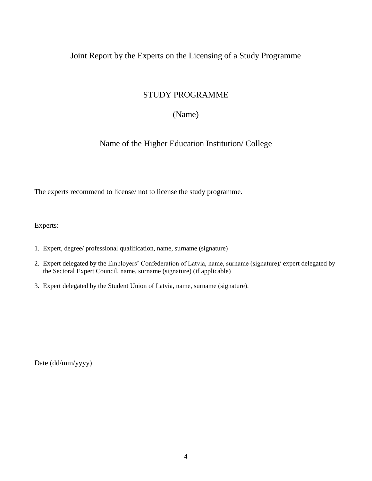### Joint Report by the Experts on the Licensing of a Study Programme

## STUDY PROGRAMME

### (Name)

Name of the Higher Education Institution/ College

The experts recommend to license/ not to license the study programme.

Experts:

- 1. Expert, degree/ professional qualification, name, surname (signature)
- 2. Expert delegated by the Employers' Confederation of Latvia, name, surname (signature)/ expert delegated by the Sectoral Expert Council, name, surname (signature) (if applicable)
- 3. Expert delegated by the Student Union of Latvia, name, surname (signature).

Date (dd/mm/yyyy)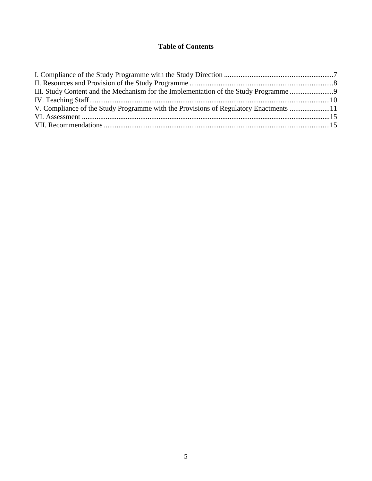### **Table of Contents**

| III. Study Content and the Mechanism for the Implementation of the Study Programme   |  |
|--------------------------------------------------------------------------------------|--|
|                                                                                      |  |
| V. Compliance of the Study Programme with the Provisions of Regulatory Enactments 11 |  |
|                                                                                      |  |
|                                                                                      |  |
|                                                                                      |  |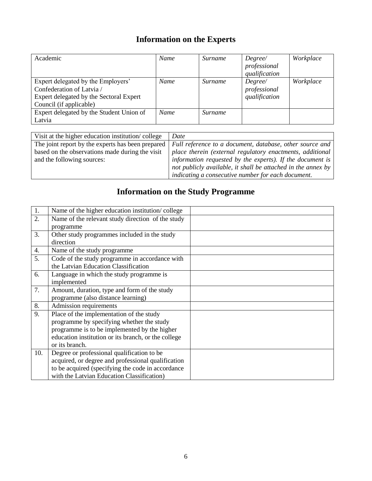# **Information on the Experts**

| Academic                                 | Name        | Surname | Degree/       | Workplace |
|------------------------------------------|-------------|---------|---------------|-----------|
|                                          |             |         | professional  |           |
|                                          |             |         | qualification |           |
| Expert delegated by the Employers'       | Name        | Surname | Degree/       | Workplace |
| Confederation of Latvia /                |             |         | professional  |           |
| Expert delegated by the Sectoral Expert  |             |         | qualification |           |
| Council (if applicable)                  |             |         |               |           |
| Expert delegated by the Student Union of | <b>Name</b> | Surname |               |           |
| Latvia                                   |             |         |               |           |

| Visit at the higher education institution/college | Date                                                         |
|---------------------------------------------------|--------------------------------------------------------------|
| The joint report by the experts has been prepared | Full reference to a document, database, other source and     |
| based on the observations made during the visit   | place therein (external regulatory enactments, additional    |
| and the following sources:                        | information requested by the experts). If the document is    |
|                                                   | not publicly available, it shall be attached in the annex by |
|                                                   | indicating a consecutive number for each document.           |

# **Information on the Study Programme**

| 1.  | Name of the higher education institution/college    |  |
|-----|-----------------------------------------------------|--|
| 2.  | Name of the relevant study direction of the study   |  |
|     | programme                                           |  |
| 3.  | Other study programmes included in the study        |  |
|     | direction                                           |  |
| 4.  | Name of the study programme                         |  |
| 5.  | Code of the study programme in accordance with      |  |
|     | the Latvian Education Classification                |  |
| 6.  | Language in which the study programme is            |  |
|     | implemented                                         |  |
| 7.  | Amount, duration, type and form of the study        |  |
|     | programme (also distance learning)                  |  |
| 8.  | Admission requirements                              |  |
| 9.  | Place of the implementation of the study            |  |
|     | programme by specifying whether the study           |  |
|     | programme is to be implemented by the higher        |  |
|     | education institution or its branch, or the college |  |
|     | or its branch.                                      |  |
| 10. | Degree or professional qualification to be          |  |
|     | acquired, or degree and professional qualification  |  |
|     | to be acquired (specifying the code in accordance   |  |
|     | with the Latvian Education Classification)          |  |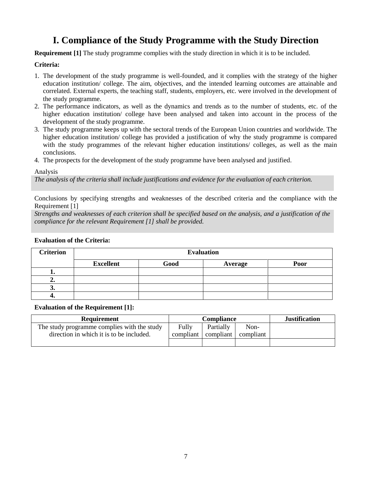## **I. Compliance of the Study Programme with the Study Direction**

<span id="page-6-0"></span>**Requirement [1]** The study programme complies with the study direction in which it is to be included.

#### **Criteria:**

- 1. The development of the study programme is well-founded, and it complies with the strategy of the higher education institution/ college. The aim, objectives, and the intended learning outcomes are attainable and correlated. External experts, the teaching staff, students, employers, etc. were involved in the development of the study programme.
- 2. The performance indicators, as well as the dynamics and trends as to the number of students, etc. of the higher education institution/ college have been analysed and taken into account in the process of the development of the study programme.
- 3. The study programme keeps up with the sectoral trends of the European Union countries and worldwide. The higher education institution/ college has provided a justification of why the study programme is compared with the study programmes of the relevant higher education institutions/ colleges, as well as the main conclusions.
- 4. The prospects for the development of the study programme have been analysed and justified.

#### Analysis

*The analysis of the criteria shall include justifications and evidence for the evaluation of each criterion.*

Conclusions by specifying strengths and weaknesses of the described criteria and the compliance with the Requirement [1]

*Strengths and weaknesses of each criterion shall be specified based on the analysis, and a justification of the compliance for the relevant Requirement [1] shall be provided.*

#### **Evaluation of the Criteria:**

| <b>Criterion</b> | <b>Evaluation</b> |      |         |      |  |
|------------------|-------------------|------|---------|------|--|
|                  | <b>Excellent</b>  | Good | Average | Poor |  |
| . .              |                   |      |         |      |  |
| "                |                   |      |         |      |  |
| J.               |                   |      |         |      |  |
| -۰.              |                   |      |         |      |  |

#### **Evaluation of the Requirement [1]:**

| <b>Requirement</b>                          | Compliance  |           |           | <b>Justification</b> |
|---------------------------------------------|-------------|-----------|-----------|----------------------|
| The study programme complies with the study | Fully       | Partially | Non-      |                      |
| direction in which it is to be included.    | compliant l | compliant | compliant |                      |
|                                             |             |           |           |                      |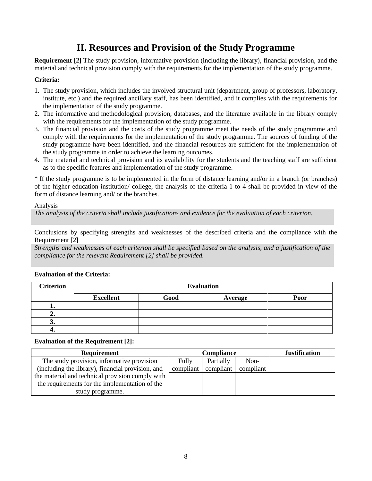## **II. Resources and Provision of the Study Programme**

<span id="page-7-0"></span>**Requirement [2]** The study provision, informative provision (including the library), financial provision, and the material and technical provision comply with the requirements for the implementation of the study programme.

#### **Criteria:**

- 1. The study provision, which includes the involved structural unit (department, group of professors, laboratory, institute, etc.) and the required ancillary staff, has been identified, and it complies with the requirements for the implementation of the study programme.
- 2. The informative and methodological provision, databases, and the literature available in the library comply with the requirements for the implementation of the study programme.
- 3. The financial provision and the costs of the study programme meet the needs of the study programme and comply with the requirements for the implementation of the study programme. The sources of funding of the study programme have been identified, and the financial resources are sufficient for the implementation of the study programme in order to achieve the learning outcomes.
- 4. The material and technical provision and its availability for the students and the teaching staff are sufficient as to the specific features and implementation of the study programme.

\* If the study programme is to be implemented in the form of distance learning and/or in a branch (or branches) of the higher education institution/ college, the analysis of the criteria 1 to 4 shall be provided in view of the form of distance learning and/ or the branches.

#### Analysis

*The analysis of the criteria shall include justifications and evidence for the evaluation of each criterion.*

Conclusions by specifying strengths and weaknesses of the described criteria and the compliance with the Requirement [2]

*Strengths and weaknesses of each criterion shall be specified based on the analysis, and a justification of the compliance for the relevant Requirement [2] shall be provided.*

| <b>Criterion</b> | <b>Evaluation</b> |      |         |      |  |
|------------------|-------------------|------|---------|------|--|
|                  | <b>Excellent</b>  | Good | Average | Poor |  |
|                  |                   |      |         |      |  |
| "                |                   |      |         |      |  |
| J.               |                   |      |         |      |  |
|                  |                   |      |         |      |  |

#### **Evaluation of the Criteria:**

#### **Evaluation of the Requirement [2]:**

| <b>Requirement</b>                                |           | Compliance | <b>Justification</b> |  |
|---------------------------------------------------|-----------|------------|----------------------|--|
| The study provision, informative provision        | Fully     | Partially  | Non-                 |  |
| (including the library), financial provision, and | compliant | compliant  | compliant            |  |
| the material and technical provision comply with  |           |            |                      |  |
| the requirements for the implementation of the    |           |            |                      |  |
| study programme.                                  |           |            |                      |  |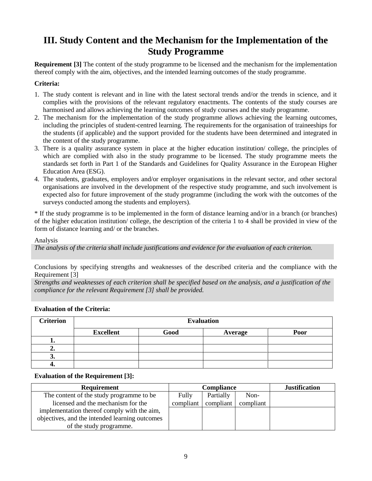## <span id="page-8-0"></span>**III. Study Content and the Mechanism for the Implementation of the Study Programme**

**Requirement [3]** The content of the study programme to be licensed and the mechanism for the implementation thereof comply with the aim, objectives, and the intended learning outcomes of the study programme.

#### **Criteria:**

- 1. The study content is relevant and in line with the latest sectoral trends and/or the trends in science, and it complies with the provisions of the relevant regulatory enactments. The contents of the study courses are harmonised and allows achieving the learning outcomes of study courses and the study programme.
- 2. The mechanism for the implementation of the study programme allows achieving the learning outcomes, including the principles of student-centred learning. The requirements for the organisation of traineeships for the students (if applicable) and the support provided for the students have been determined and integrated in the content of the study programme.
- 3. There is a quality assurance system in place at the higher education institution/ college, the principles of which are complied with also in the study programme to be licensed. The study programme meets the standards set forth in Part 1 of the Standards and Guidelines for Quality Assurance in the European Higher Education Area (ESG).
- 4. The students, graduates, employers and/or employer organisations in the relevant sector, and other sectoral organisations are involved in the development of the respective study programme, and such involvement is expected also for future improvement of the study programme (including the work with the outcomes of the surveys conducted among the students and employers).

\* If the study programme is to be implemented in the form of distance learning and/or in a branch (or branches) of the higher education institution/ college, the description of the criteria 1 to 4 shall be provided in view of the form of distance learning and/ or the branches.

Analysis

*The analysis of the criteria shall include justifications and evidence for the evaluation of each criterion.*

Conclusions by specifying strengths and weaknesses of the described criteria and the compliance with the Requirement [3]

*Strengths and weaknesses of each criterion shall be specified based on the analysis, and a justification of the compliance for the relevant Requirement [3] shall be provided.*

| <b>Criterion</b> | <b>Evaluation</b> |      |         |      |  |
|------------------|-------------------|------|---------|------|--|
|                  | <b>Excellent</b>  | Good | Average | Poor |  |
|                  |                   |      |         |      |  |
| ، ت              |                   |      |         |      |  |
| J.               |                   |      |         |      |  |
| −.               |                   |      |         |      |  |

#### **Evaluation of the Criteria:**

#### **Evaluation of the Requirement [3]:**

| <b>Requirement</b>                             |           | Compliance | <b>Justification</b> |  |
|------------------------------------------------|-----------|------------|----------------------|--|
| The content of the study programme to be       | Fully     | Partially  | Non-                 |  |
| licensed and the mechanism for the             | compliant | compliant  | compliant            |  |
| implementation thereof comply with the aim,    |           |            |                      |  |
| objectives, and the intended learning outcomes |           |            |                      |  |
| of the study programme.                        |           |            |                      |  |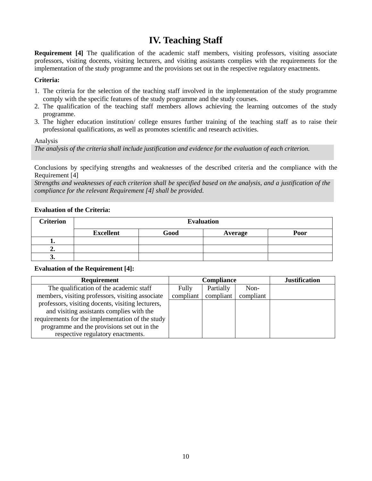## **IV. Teaching Staff**

<span id="page-9-0"></span>**Requirement** [4] The qualification of the academic staff members, visiting professors, visiting associate professors, visiting docents, visiting lecturers, and visiting assistants complies with the requirements for the implementation of the study programme and the provisions set out in the respective regulatory enactments.

#### **Criteria:**

- 1. The criteria for the selection of the teaching staff involved in the implementation of the study programme comply with the specific features of the study programme and the study courses.
- 2. The qualification of the teaching staff members allows achieving the learning outcomes of the study programme.
- 3. The higher education institution/ college ensures further training of the teaching staff as to raise their professional qualifications, as well as promotes scientific and research activities.

Analysis

*The analysis of the criteria shall include justification and evidence for the evaluation of each criterion.*

Conclusions by specifying strengths and weaknesses of the described criteria and the compliance with the Requirement [4]

*Strengths and weaknesses of each criterion shall be specified based on the analysis, and a justification of the compliance for the relevant Requirement [4] shall be provided.*

#### **Evaluation of the Criteria:**

| <b>Criterion</b> | <b>Evaluation</b> |                 |  |  |  |  |  |
|------------------|-------------------|-----------------|--|--|--|--|--|
|                  | <b>Excellent</b>  | Good<br>Average |  |  |  |  |  |
|                  |                   |                 |  |  |  |  |  |
| ∸∙               |                   |                 |  |  |  |  |  |
| J.               |                   |                 |  |  |  |  |  |

#### **Evaluation of the Requirement [4]:**

| <b>Requirement</b>                                |           | Compliance | <b>Justification</b> |  |
|---------------------------------------------------|-----------|------------|----------------------|--|
| The qualification of the academic staff           | Fully     | Partially  | Non-                 |  |
| members, visiting professors, visiting associate  | compliant | compliant  | compliant            |  |
| professors, visiting docents, visiting lecturers, |           |            |                      |  |
| and visiting assistants complies with the         |           |            |                      |  |
| requirements for the implementation of the study  |           |            |                      |  |
| programme and the provisions set out in the       |           |            |                      |  |
| respective regulatory enactments.                 |           |            |                      |  |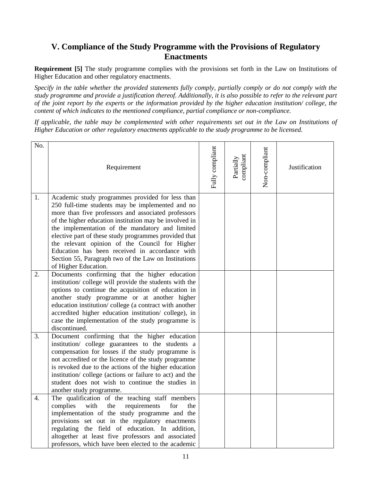## <span id="page-10-0"></span>**V. Compliance of the Study Programme with the Provisions of Regulatory Enactments**

**Requirement [5]** The study programme complies with the provisions set forth in the Law on Institutions of Higher Education and other regulatory enactments.

*Specify in the table whether the provided statements fully comply, partially comply or do not comply with the study programme and provide a justification thereof. Additionally, it is also possible to refer to the relevant part of the joint report by the experts or the information provided by the higher education institution/ college, the content of which indicates to the mentioned compliance, partial compliance or non-compliance.*

*If applicable, the table may be complemented with other requirements set out in the Law on Institutions of Higher Education or other regulatory enactments applicable to the study programme to be licensed.*

| No. | Requirement                                                                                                                                                                                                                                                                                                                                                                                                                                                                                                           | Fully compliant | compliant<br>Partially | Non-compliant | Justification |
|-----|-----------------------------------------------------------------------------------------------------------------------------------------------------------------------------------------------------------------------------------------------------------------------------------------------------------------------------------------------------------------------------------------------------------------------------------------------------------------------------------------------------------------------|-----------------|------------------------|---------------|---------------|
| 1.  | Academic study programmes provided for less than<br>250 full-time students may be implemented and no<br>more than five professors and associated professors<br>of the higher education institution may be involved in<br>the implementation of the mandatory and limited<br>elective part of these study programmes provided that<br>the relevant opinion of the Council for Higher<br>Education has been received in accordance with<br>Section 55, Paragraph two of the Law on Institutions<br>of Higher Education. |                 |                        |               |               |
| 2.  | Documents confirming that the higher education<br>institution/ college will provide the students with the<br>options to continue the acquisition of education in<br>another study programme or at another higher<br>education institution/college (a contract with another<br>accredited higher education institution/ college), in<br>case the implementation of the study programme is<br>discontinued.                                                                                                             |                 |                        |               |               |
| 3.  | Document confirming that the higher education<br>institution/ college guarantees to the students a<br>compensation for losses if the study programme is<br>not accredited or the licence of the study programme<br>is revoked due to the actions of the higher education<br>institution/college (actions or failure to act) and the<br>student does not wish to continue the studies in<br>another study programme.                                                                                                   |                 |                        |               |               |
| 4.  | The qualification of the teaching staff members<br>complies<br>with<br>the<br>requirements<br>for<br>the<br>implementation of the study programme and the<br>provisions set out in the regulatory enactments<br>regulating the field of education. In addition,<br>altogether at least five professors and associated<br>professors, which have been elected to the academic                                                                                                                                          |                 |                        |               |               |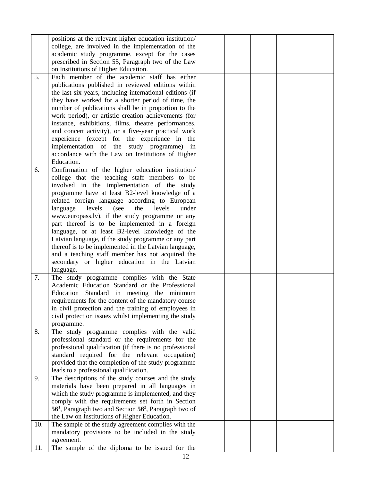|     | positions at the relevant higher education institution/                        |  |  |
|-----|--------------------------------------------------------------------------------|--|--|
|     | college, are involved in the implementation of the                             |  |  |
|     | academic study programme, except for the cases                                 |  |  |
|     | prescribed in Section 55, Paragraph two of the Law                             |  |  |
|     | on Institutions of Higher Education.                                           |  |  |
| 5.  | Each member of the academic staff has either                                   |  |  |
|     | publications published in reviewed editions within                             |  |  |
|     | the last six years, including international editions (if                       |  |  |
|     | they have worked for a shorter period of time, the                             |  |  |
|     | number of publications shall be in proportion to the                           |  |  |
|     |                                                                                |  |  |
|     | work period), or artistic creation achievements (for                           |  |  |
|     | instance, exhibitions, films, theatre performances,                            |  |  |
|     | and concert activity), or a five-year practical work                           |  |  |
|     | experience (except for the experience in the                                   |  |  |
|     | implementation of the study programme) in                                      |  |  |
|     | accordance with the Law on Institutions of Higher                              |  |  |
|     | Education.                                                                     |  |  |
| 6.  | Confirmation of the higher education institution/                              |  |  |
|     | college that the teaching staff members to be                                  |  |  |
|     | involved in the implementation of the study                                    |  |  |
|     | programme have at least B2-level knowledge of a                                |  |  |
|     | related foreign language according to European                                 |  |  |
|     | levels<br>(see<br>the<br>levels<br>under                                       |  |  |
|     | language                                                                       |  |  |
|     | www.europass.lv), if the study programme or any                                |  |  |
|     | part thereof is to be implemented in a foreign                                 |  |  |
|     | language, or at least B2-level knowledge of the                                |  |  |
|     | Latvian language, if the study programme or any part                           |  |  |
|     | thereof is to be implemented in the Latvian language,                          |  |  |
|     | and a teaching staff member has not acquired the                               |  |  |
|     | secondary or higher education in the Latvian                                   |  |  |
|     | language.                                                                      |  |  |
| 7.  | The study programme complies with the State                                    |  |  |
|     | Academic Education Standard or the Professional                                |  |  |
|     | Education Standard in meeting the minimum                                      |  |  |
|     | requirements for the content of the mandatory course                           |  |  |
|     | in civil protection and the training of employees in                           |  |  |
|     | civil protection issues whilst implementing the study                          |  |  |
|     |                                                                                |  |  |
| 8.  | programme.<br>The study programme complies with the valid                      |  |  |
|     |                                                                                |  |  |
|     | professional standard or the requirements for the                              |  |  |
|     | professional qualification (if there is no professional                        |  |  |
|     | standard required for the relevant occupation)                                 |  |  |
|     | provided that the completion of the study programme                            |  |  |
|     | leads to a professional qualification.                                         |  |  |
| 9.  | The descriptions of the study courses and the study                            |  |  |
|     | materials have been prepared in all languages in                               |  |  |
|     | which the study programme is implemented, and they                             |  |  |
|     | comply with the requirements set forth in Section                              |  |  |
|     | 56 <sup>1</sup> , Paragraph two and Section 56 <sup>2</sup> , Paragraph two of |  |  |
|     | the Law on Institutions of Higher Education.                                   |  |  |
| 10. | The sample of the study agreement complies with the                            |  |  |
|     | mandatory provisions to be included in the study                               |  |  |
|     |                                                                                |  |  |
|     | agreement.                                                                     |  |  |
| 11. | The sample of the diploma to be issued for the                                 |  |  |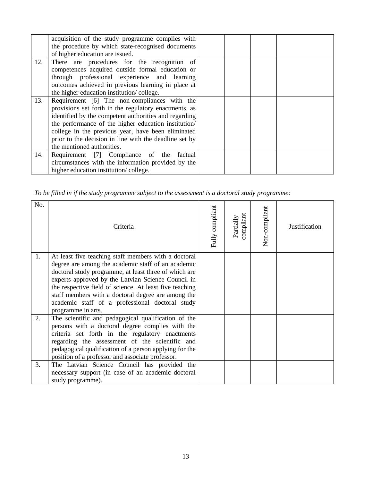|     | acquisition of the study programme complies with<br>the procedure by which state-recognised documents<br>of higher education are issued.                                                                                                                                                                                                                             |  |
|-----|----------------------------------------------------------------------------------------------------------------------------------------------------------------------------------------------------------------------------------------------------------------------------------------------------------------------------------------------------------------------|--|
| 12. | There are procedures for the recognition of<br>competences acquired outside formal education or<br>through professional experience and learning<br>outcomes achieved in previous learning in place at<br>the higher education institution/college.                                                                                                                   |  |
| 13. | Requirement [6] The non-compliances with the<br>provisions set forth in the regulatory enactments, as<br>identified by the competent authorities and regarding<br>the performance of the higher education institution/<br>college in the previous year, have been eliminated<br>prior to the decision in line with the deadline set by<br>the mentioned authorities. |  |
| 14. | Requirement [7] Compliance of the factual<br>circumstances with the information provided by the<br>higher education institution/college.                                                                                                                                                                                                                             |  |

*To be filled in if the study programme subject to the assessment is a doctoral study programme:*

| No.      | Criteria                                                                                                                                                                                                                                                                                                                                                                                                            | Fully compliant | compliant<br>Partially | Non-compliant | Justification |
|----------|---------------------------------------------------------------------------------------------------------------------------------------------------------------------------------------------------------------------------------------------------------------------------------------------------------------------------------------------------------------------------------------------------------------------|-----------------|------------------------|---------------|---------------|
| 1.       | At least five teaching staff members with a doctoral<br>degree are among the academic staff of an academic<br>doctoral study programme, at least three of which are<br>experts approved by the Latvian Science Council in<br>the respective field of science. At least five teaching<br>staff members with a doctoral degree are among the<br>academic staff of a professional doctoral study<br>programme in arts. |                 |                        |               |               |
| 2.<br>3. | The scientific and pedagogical qualification of the<br>persons with a doctoral degree complies with the<br>criteria set forth in the regulatory enactments<br>regarding the assessment of the scientific and<br>pedagogical qualification of a person applying for the<br>position of a professor and associate professor.<br>The Latvian Science Council has provided the                                          |                 |                        |               |               |
|          | necessary support (in case of an academic doctoral<br>study programme).                                                                                                                                                                                                                                                                                                                                             |                 |                        |               |               |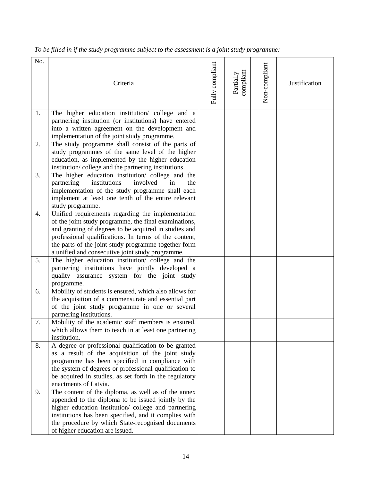| No. | Criteria                                                                                                                                                                                                                                                                                                                                 | Fully compliant | compliant<br>Partially | Non-compliant | Justification |
|-----|------------------------------------------------------------------------------------------------------------------------------------------------------------------------------------------------------------------------------------------------------------------------------------------------------------------------------------------|-----------------|------------------------|---------------|---------------|
| 1.  | The higher education institution/ college and a<br>partnering institution (or institutions) have entered<br>into a written agreement on the development and<br>implementation of the joint study programme.                                                                                                                              |                 |                        |               |               |
| 2.  | The study programme shall consist of the parts of<br>study programmes of the same level of the higher<br>education, as implemented by the higher education<br>institution/college and the partnering institutions.                                                                                                                       |                 |                        |               |               |
| 3.  | The higher education institution/ college and the<br>institutions<br>involved<br>partnering<br>in<br>the<br>implementation of the study programme shall each<br>implement at least one tenth of the entire relevant<br>study programme.                                                                                                  |                 |                        |               |               |
| 4.  | Unified requirements regarding the implementation<br>of the joint study programme, the final examinations,<br>and granting of degrees to be acquired in studies and<br>professional qualifications. In terms of the content,<br>the parts of the joint study programme together form<br>a unified and consecutive joint study programme. |                 |                        |               |               |
| 5.  | The higher education institution/ college and the<br>partnering institutions have jointly developed a<br>quality assurance system for the joint study<br>programme.                                                                                                                                                                      |                 |                        |               |               |
| 6.  | Mobility of students is ensured, which also allows for<br>the acquisition of a commensurate and essential part<br>of the joint study programme in one or several<br>partnering institutions.                                                                                                                                             |                 |                        |               |               |
| 7.  | Mobility of the academic staff members is ensured,<br>which allows them to teach in at least one partnering<br>institution.                                                                                                                                                                                                              |                 |                        |               |               |
| 8.  | A degree or professional qualification to be granted<br>as a result of the acquisition of the joint study<br>programme has been specified in compliance with<br>the system of degrees or professional qualification to<br>be acquired in studies, as set forth in the regulatory<br>enactments of Latvia.                                |                 |                        |               |               |
| 9.  | The content of the diploma, as well as of the annex<br>appended to the diploma to be issued jointly by the<br>higher education institution/ college and partnering<br>institutions has been specified, and it complies with<br>the procedure by which State-recognised documents<br>of higher education are issued.                      |                 |                        |               |               |

*To be filled in if the study programme subject to the assessment is a joint study programme:*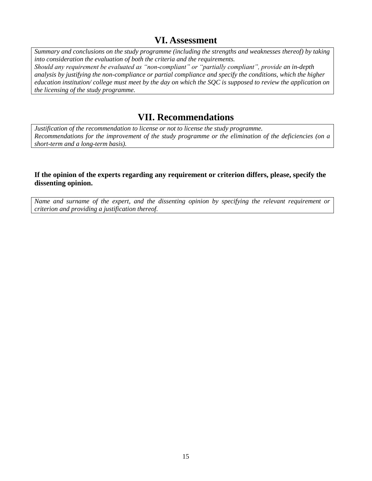## **VI. Assessment**

<span id="page-14-0"></span>*Summary and conclusions on the study programme (including the strengths and weaknesses thereof) by taking into consideration the evaluation of both the criteria and the requirements. Should any requirement be evaluated as "non-compliant" or "partially compliant", provide an in-depth analysis by justifying the non-compliance or partial compliance and specify the conditions, which the higher education institution/ college must meet by the day on which the SQC is supposed to review the application on the licensing of the study programme.* 

## **VII. Recommendations**

<span id="page-14-1"></span>*Justification of the recommendation to license or not to license the study programme. Recommendations for the improvement of the study programme or the elimination of the deficiencies (on a short-term and a long-term basis).*

#### **If the opinion of the experts regarding any requirement or criterion differs, please, specify the dissenting opinion.**

*Name and surname of the expert, and the dissenting opinion by specifying the relevant requirement or criterion and providing a justification thereof.*